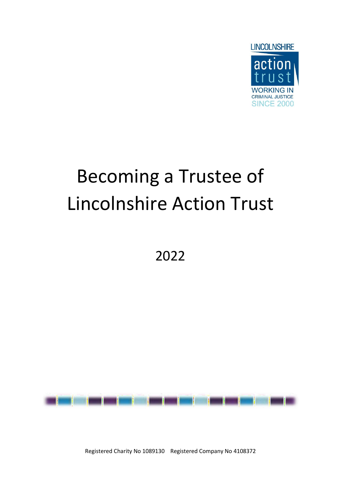

# Becoming a Trustee of Lincolnshire Action Trust

2022



Registered Charity No 1089130 Registered Company No 4108372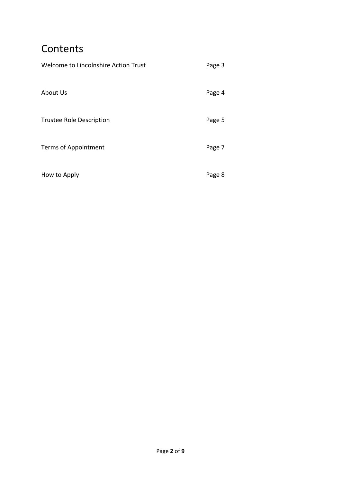# **Contents**

| Welcome to Lincolnshire Action Trust | Page 3 |
|--------------------------------------|--------|
| About Us                             | Page 4 |
| <b>Trustee Role Description</b>      | Page 5 |
| Terms of Appointment                 | Page 7 |
| How to Apply                         | Page 8 |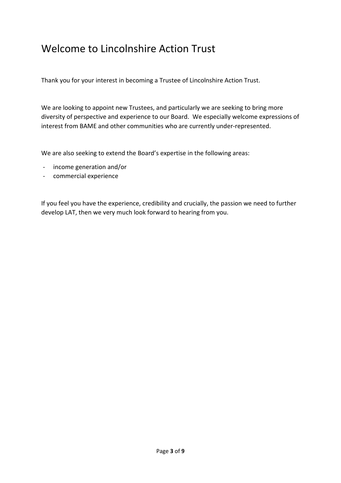# Welcome to Lincolnshire Action Trust

Thank you for your interest in becoming a Trustee of Lincolnshire Action Trust.

We are looking to appoint new Trustees, and particularly we are seeking to bring more diversity of perspective and experience to our Board. We especially welcome expressions of interest from BAME and other communities who are currently under-represented.

We are also seeking to extend the Board's expertise in the following areas:

- income generation and/or
- commercial experience

If you feel you have the experience, credibility and crucially, the passion we need to further develop LAT, then we very much look forward to hearing from you.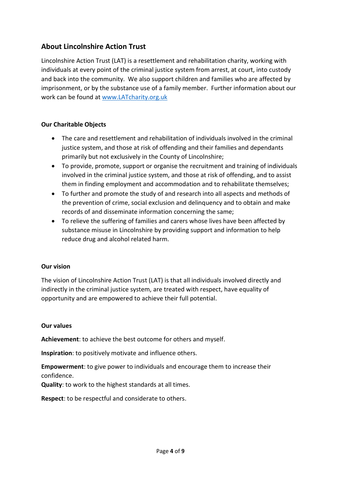# About Lincolnshire Action Trust

Lincolnshire Action Trust (LAT) is a resettlement and rehabilitation charity, working with individuals at every point of the criminal justice system from arrest, at court, into custody and back into the community. We also support children and families who are affected by imprisonment, or by the substance use of a family member. Further information about our work can be found at www.LATcharity.org.uk

#### Our Charitable Objects

- The care and resettlement and rehabilitation of individuals involved in the criminal justice system, and those at risk of offending and their families and dependants primarily but not exclusively in the County of Lincolnshire;
- To provide, promote, support or organise the recruitment and training of individuals involved in the criminal justice system, and those at risk of offending, and to assist them in finding employment and accommodation and to rehabilitate themselves;
- To further and promote the study of and research into all aspects and methods of the prevention of crime, social exclusion and delinquency and to obtain and make records of and disseminate information concerning the same;
- To relieve the suffering of families and carers whose lives have been affected by substance misuse in Lincolnshire by providing support and information to help reduce drug and alcohol related harm.

#### Our vision

The vision of Lincolnshire Action Trust (LAT) is that all individuals involved directly and indirectly in the criminal justice system, are treated with respect, have equality of opportunity and are empowered to achieve their full potential.

#### Our values

Achievement: to achieve the best outcome for others and myself.

Inspiration: to positively motivate and influence others.

Empowerment: to give power to individuals and encourage them to increase their confidence.

Quality: to work to the highest standards at all times.

Respect: to be respectful and considerate to others.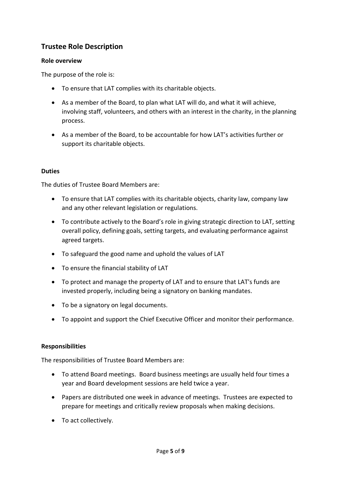# Trustee Role Description

#### Role overview

The purpose of the role is:

- To ensure that LAT complies with its charitable objects.
- As a member of the Board, to plan what LAT will do, and what it will achieve, involving staff, volunteers, and others with an interest in the charity, in the planning process.
- As a member of the Board, to be accountable for how LAT's activities further or support its charitable objects.

#### Duties

The duties of Trustee Board Members are:

- To ensure that LAT complies with its charitable objects, charity law, company law and any other relevant legislation or regulations.
- To contribute actively to the Board's role in giving strategic direction to LAT, setting overall policy, defining goals, setting targets, and evaluating performance against agreed targets.
- To safeguard the good name and uphold the values of LAT
- To ensure the financial stability of LAT
- To protect and manage the property of LAT and to ensure that LAT's funds are invested properly, including being a signatory on banking mandates.
- To be a signatory on legal documents.
- To appoint and support the Chief Executive Officer and monitor their performance.

#### Responsibilities

The responsibilities of Trustee Board Members are:

- To attend Board meetings. Board business meetings are usually held four times a year and Board development sessions are held twice a year.
- Papers are distributed one week in advance of meetings. Trustees are expected to prepare for meetings and critically review proposals when making decisions.
- To act collectively.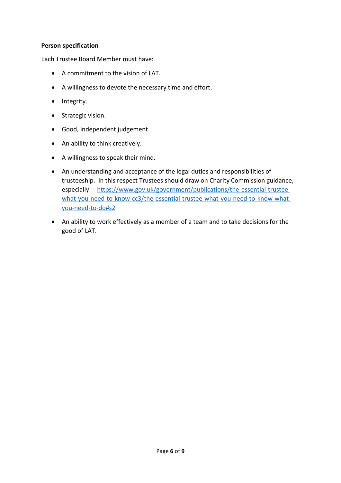#### Person specification

Each Trustee Board Member must have:

- A commitment to the vision of LAT.
- A willingness to devote the necessary time and effort.
- Integrity.
- Strategic vision.
- Good, independent judgement.
- An ability to think creatively.
- A willingness to speak their mind.
- An understanding and acceptance of the legal duties and responsibilities of trusteeship. In this respect Trustees should draw on Charity Commission guidance, especially: https://www.gov.uk/government/publications/the-essential-trusteewhat-you-need-to-know-cc3/the-essential-trustee-what-you-need-to-know-whatyou-need-to-do#s2
- An ability to work effectively as a member of a team and to take decisions for the good of LAT.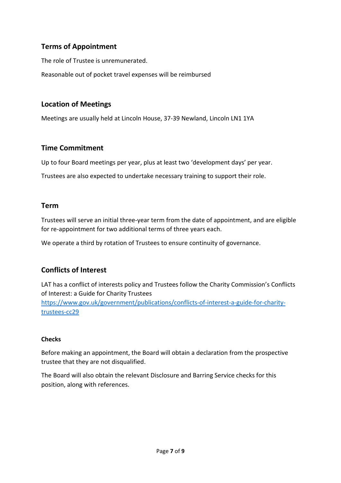# Terms of Appointment

The role of Trustee is unremunerated.

Reasonable out of pocket travel expenses will be reimbursed

# Location of Meetings

Meetings are usually held at Lincoln House, 37-39 Newland, Lincoln LN1 1YA

## Time Commitment

Up to four Board meetings per year, plus at least two 'development days' per year.

Trustees are also expected to undertake necessary training to support their role.

## Term

Trustees will serve an initial three-year term from the date of appointment, and are eligible for re-appointment for two additional terms of three years each.

We operate a third by rotation of Trustees to ensure continuity of governance.

# Conflicts of Interest

LAT has a conflict of interests policy and Trustees follow the Charity Commission's Conflicts of Interest: a Guide for Charity Trustees https://www.gov.uk/government/publications/conflicts-of-interest-a-guide-for-charitytrustees-cc29

#### **Checks**

Before making an appointment, the Board will obtain a declaration from the prospective trustee that they are not disqualified.

The Board will also obtain the relevant Disclosure and Barring Service checks for this position, along with references.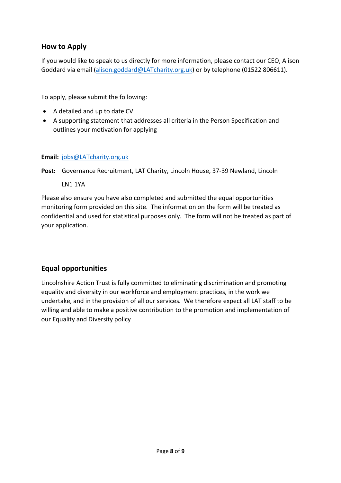# How to Apply

If you would like to speak to us directly for more information, please contact our CEO, Alison Goddard via email (alison.goddard@LATcharity.org.uk) or by telephone (01522 806611).

To apply, please submit the following:

- A detailed and up to date CV
- A supporting statement that addresses all criteria in the Person Specification and outlines your motivation for applying

#### Email: jobs@LATcharity.org.uk

Post: Governance Recruitment, LAT Charity, Lincoln House, 37-39 Newland, Lincoln

LN1 1YA

Please also ensure you have also completed and submitted the equal opportunities monitoring form provided on this site. The information on the form will be treated as confidential and used for statistical purposes only. The form will not be treated as part of your application.

# Equal opportunities

Lincolnshire Action Trust is fully committed to eliminating discrimination and promoting equality and diversity in our workforce and employment practices, in the work we undertake, and in the provision of all our services. We therefore expect all LAT staff to be willing and able to make a positive contribution to the promotion and implementation of our Equality and Diversity policy